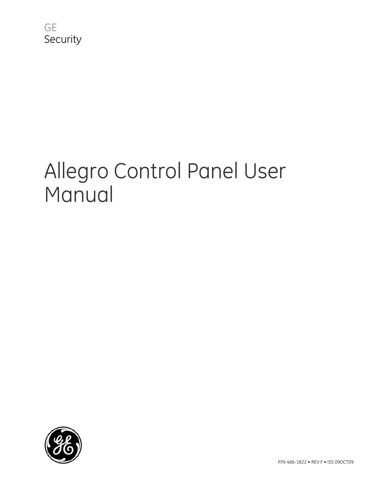

# Allegro Control Panel User Manual

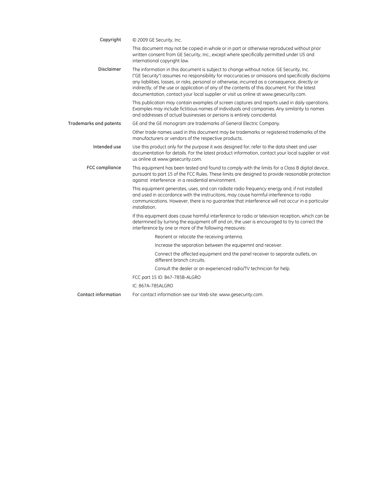| Copyright                     | © 2009 GE Security, Inc.                                                                                                                                                                                                                                                                                                                                                                                                                                                                   |
|-------------------------------|--------------------------------------------------------------------------------------------------------------------------------------------------------------------------------------------------------------------------------------------------------------------------------------------------------------------------------------------------------------------------------------------------------------------------------------------------------------------------------------------|
|                               | This document may not be copied in whole or in part or otherwise reproduced without prior<br>written consent from GE Security, Inc., except where specifically permitted under US and<br>international copyright law.                                                                                                                                                                                                                                                                      |
| <b>Disclaimer</b>             | The information in this document is subject to change without notice. GE Security, Inc.<br>("GE Security") assumes no responsibility for inaccuracies or omissions and specifically disclaims<br>any liabilities, losses, or risks, personal or otherwise, incurred as a consequence, directly or<br>indirectly, of the use or application of any of the contents of this document. For the latest<br>documentation, contact your local supplier or visit us online at www.gesecurity.com. |
|                               | This publication may contain examples of screen captures and reports used in daily operations.<br>Examples may include fictitious names of individuals and companies. Any similarity to names<br>and addresses of actual businesses or persons is entirely coincidental.                                                                                                                                                                                                                   |
| <b>Trademarks and patents</b> | GE and the GE monogram are trademarks of General Electric Company.                                                                                                                                                                                                                                                                                                                                                                                                                         |
|                               | Other trade names used in this document may be trademarks or registered trademarks of the<br>manufacturers or vendors of the respective products.                                                                                                                                                                                                                                                                                                                                          |
| Intended use                  | Use this product only for the purpose it was designed for; refer to the data sheet and user<br>documentation for details. For the latest product information, contact your local supplier or visit<br>us online at www.gesecurity.com.                                                                                                                                                                                                                                                     |
| <b>FCC</b> compliance         | This equipment has been tested and found to comply with the limits for a Class B digital device,<br>pursuant to part 15 of the FCC Rules. These limits are designed to provide reasonable protection<br>against interference in a residential environment.                                                                                                                                                                                                                                 |
|                               | This equipment generates, uses, and can radiate radio frequency energy and, if not installed<br>and used in accordance with the instrucitons, may cause harmful interference to radio<br>communications. However, there is no guarantee that interference will not occur in a particular<br>installation.                                                                                                                                                                                  |
|                               | If this equipment does cause harmful interference to radio or television reception, which can be<br>determined by turning the equipment off and on, the user is encouraged to try to correct the<br>interference by one or more of the following measures:                                                                                                                                                                                                                                 |
|                               | Reorient or relocate the receiving antenna.                                                                                                                                                                                                                                                                                                                                                                                                                                                |
|                               | Increase the separation between the equipemnt and receiver.                                                                                                                                                                                                                                                                                                                                                                                                                                |
|                               | Connect the affected equipment and the panel receiver to separate outlets, on<br>different branch circuits.                                                                                                                                                                                                                                                                                                                                                                                |
|                               | Consult the dealer or an experienced radio/TV technician for help.                                                                                                                                                                                                                                                                                                                                                                                                                         |
|                               | FCC part 15 ID: B47-785B-ALGRO                                                                                                                                                                                                                                                                                                                                                                                                                                                             |
|                               | IC: 867A-785ALGRO                                                                                                                                                                                                                                                                                                                                                                                                                                                                          |
| <b>Contact information</b>    | For contact information see our Web site: www.gesecurity.com.                                                                                                                                                                                                                                                                                                                                                                                                                              |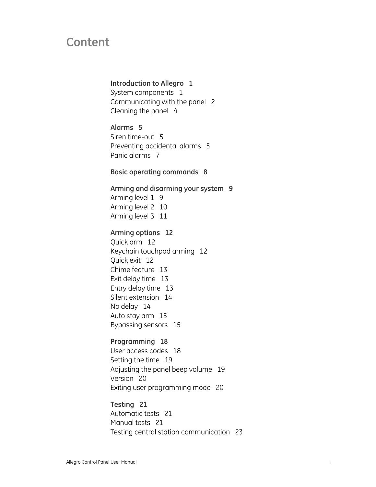## **Content**

#### **[Introduction to Allegro 1](#page-4-0)**

[System components 1](#page-4-0) [Communicating with the panel 2](#page-5-0) [Cleaning the panel 4](#page-7-0)

#### **[Alarms 5](#page-8-0)**

[Siren time-out 5](#page-8-0) [Preventing accidental alarms 5](#page-8-0) [Panic alarms 7](#page-10-0)

#### **[Basic operating commands 8](#page-11-0)**

## **[Arming and disarming your system 9](#page-12-0)**

[Arming level 1 9](#page-12-0) [Arming level 2 10](#page-13-0) [Arming level 3 11](#page-14-0)

#### **[Arming options 12](#page-15-0)**

[Quick arm 12](#page-15-0) [Keychain touchpad arming 12](#page-15-0) [Quick exit 12](#page-15-0) [Chime feature 13](#page-16-0) [Exit delay time 13](#page-16-0) [Entry delay time 13](#page-16-0) [Silent extension 14](#page-17-0) [No delay 14](#page-17-0) [Auto stay arm 15](#page-18-0) [Bypassing sensors 15](#page-18-0)

#### **[Programming 18](#page-21-0)**

[User access codes 18](#page-21-0) [Setting the time 19](#page-22-0) [Adjusting the panel beep volume 19](#page-22-0) [Version 20](#page-23-0) [Exiting user programming mode 20](#page-23-0)

**[Testing 21](#page-24-0)** [Automatic tests 21](#page-24-0) [Manual tests 21](#page-24-0) [Testing central station communication 23](#page-26-0)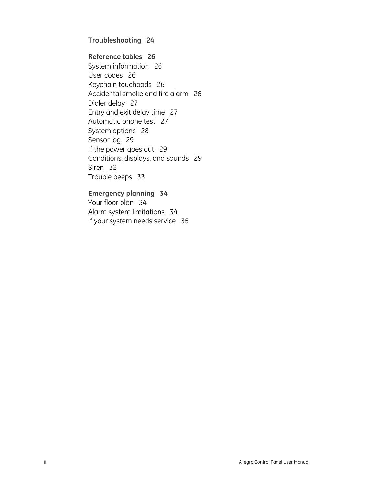#### **[Troubleshooting 24](#page-27-0)**

#### **[Reference tables 26](#page-29-0)**

[System information 26](#page-29-0) [User codes 26](#page-29-0) [Keychain touchpads 26](#page-29-0) [Accidental smoke and fire alarm 26](#page-29-0) [Dialer delay 27](#page-30-0) [Entry and exit delay time 27](#page-30-0) [Automatic phone test 27](#page-30-0) [System options 28](#page-31-0) [Sensor log 29](#page-32-0) [If the power goes out 29](#page-32-0) [Conditions, displays, and sounds 29](#page-32-0) [Siren 32](#page-35-0) [Trouble beeps 33](#page-36-0)

#### **[Emergency planning 34](#page-37-0)**

[Your floor plan 34](#page-37-0) [Alarm system limitations 34](#page-37-0) [If your system needs service 35](#page-38-0)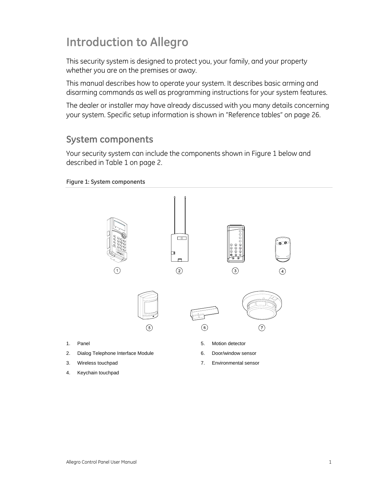## <span id="page-4-0"></span>**Introduction to Allegro**

This security system is designed to protect you, your family, and your property whether you are on the premises or away.

This manual describes how to operate your system. It describes basic arming and disarming commands as well as programming instructions for your system features.

The dealer or installer may have already discussed with you many details concerning your system. Specific setup information is shown in "[Reference tables" on page 26](#page-29-1).

### **System components**

Your security system can include the components shown in [Figure 1](#page-4-1) [below](#page-4-1) and described in [Table 1](#page-5-1) [on page 2](#page-5-1).

#### <span id="page-4-1"></span>**Figure 1: System components**

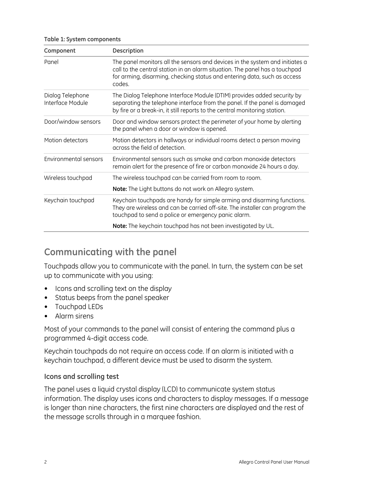<span id="page-5-0"></span>

|  |  |  | Table 1: System components |
|--|--|--|----------------------------|
|--|--|--|----------------------------|

<span id="page-5-1"></span>

| Component                            | <b>Description</b>                                                                                                                                                                                                                                |  |
|--------------------------------------|---------------------------------------------------------------------------------------------------------------------------------------------------------------------------------------------------------------------------------------------------|--|
| Panel                                | The panel monitors all the sensors and devices in the system and initiates a<br>call to the central station in an alarm situation. The panel has a touchpad<br>for arming, disarming, checking status and entering data, such as access<br>codes. |  |
| Dialog Telephone<br>Interface Module | The Dialog Telephone Interface Module (DTIM) provides added security by<br>separating the telephone interface from the panel. If the panel is damaged<br>by fire or a break-in, it still reports to the central monitoring station.               |  |
| Door/window sensors                  | Door and window sensors protect the perimeter of your home by alerting<br>the panel when a door or window is opened.                                                                                                                              |  |
| Motion detectors                     | Motion detectors in hallways or individual rooms detect a person moving<br>across the field of detection.                                                                                                                                         |  |
| Environmental sensors                | Environmental sensors such as smoke and carbon monoxide detectors<br>remain alert for the presence of fire or carbon monoxide 24 hours a day.                                                                                                     |  |
| Wireless touchpad                    | The wireless touchpad can be carried from room to room.                                                                                                                                                                                           |  |
|                                      | Note: The Light buttons do not work on Allegro system.                                                                                                                                                                                            |  |
| Keychain touchpad                    | Keychain touchpads are handy for simple arming and disarming functions.<br>They are wireless and can be carried off-site. The installer can program the<br>touchpad to send a police or emergency panic alarm.                                    |  |
|                                      | Note: The keychain touchpad has not been investigated by UL.                                                                                                                                                                                      |  |

## **Communicating with the panel**

Touchpads allow you to communicate with the panel. In turn, the system can be set up to communicate with you using:

- Icons and scrolling text on the display
- Status beeps from the panel speaker
- Touchpad LEDs
- Alarm sirens

Most of your commands to the panel will consist of entering the command plus a programmed 4-digit access code.

Keychain touchpads do not require an access code. If an alarm is initiated with a keychain touchpad, a different device must be used to disarm the system.

#### **Icons and scrolling test**

The panel uses a liquid crystal display (LCD) to communicate system status information. The display uses icons and characters to display messages. If a message is longer than nine characters, the first nine characters are displayed and the rest of the message scrolls through in a marquee fashion.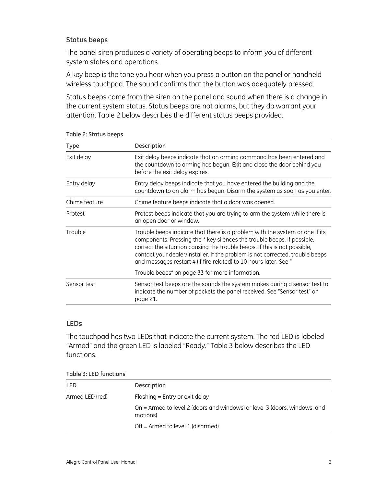#### **Status beeps**

The panel siren produces a variety of operating beeps to inform you of different system states and operations.

A key beep is the tone you hear when you press a button on the panel or handheld wireless touchpad. The sound confirms that the button was adequately pressed.

Status beeps come from the siren on the panel and sound when there is a change in the current system status. Status beeps are not alarms, but they do warrant your attention. [Table 2](#page-6-0) [below](#page-6-0) describes the different status beeps provided.

| <b>Type</b>   | <b>Description</b>                                                                                                                                                                                                                                                                                                                                                                         |  |
|---------------|--------------------------------------------------------------------------------------------------------------------------------------------------------------------------------------------------------------------------------------------------------------------------------------------------------------------------------------------------------------------------------------------|--|
| Exit delay    | Exit delay beeps indicate that an arming command has been entered and<br>the countdown to arming has begun. Exit and close the door behind you<br>before the exit delay expires.                                                                                                                                                                                                           |  |
| Entry delay   | Entry delay beeps indicate that you have entered the building and the<br>countdown to an alarm has begun. Disarm the system as soon as you enter.                                                                                                                                                                                                                                          |  |
| Chime feature | Chime feature beeps indicate that a door was opened.                                                                                                                                                                                                                                                                                                                                       |  |
| Protest       | Protest beeps indicate that you are trying to arm the system while there is<br>an open door or window.                                                                                                                                                                                                                                                                                     |  |
| Trouble       | Trouble beeps indicate that there is a problem with the system or one if its<br>components. Pressing the * key silences the trouble beeps. If possible,<br>correct the situation causing the trouble beeps. If this is not possible,<br>contact your dealer/installer. If the problem is not corrected, trouble beeps<br>and messages restart 4 (if fire related) to 10 hours later. See " |  |
|               | Trouble beeps" on page 33 for more information.                                                                                                                                                                                                                                                                                                                                            |  |
| Sensor test   | Sensor test beeps are the sounds the system makes during a sensor test to<br>indicate the number of packets the panel received. See "Sensor test" on<br>page 21.                                                                                                                                                                                                                           |  |

<span id="page-6-0"></span>**Table 2: Status beeps** 

#### **LEDs**

The touchpad has two LEDs that indicate the current system. The red LED is labeled "Armed" and the green LED is labeled "Ready." Table 3 below describes the LED functions.

**Table 3: LED functions** 

| <b>LED</b>      | <b>Description</b>                                                                    |
|-----------------|---------------------------------------------------------------------------------------|
| Armed LED (red) | Flashing $=$ Entry or exit delay                                                      |
|                 | On = Armed to level 2 (doors and windows) or level 3 (doors, windows, and<br>motions) |
|                 | Off = Armed to level 1 (disarmed)                                                     |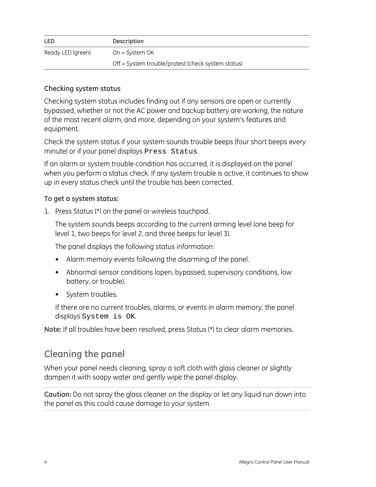<span id="page-7-0"></span>

| <b>LED</b>        | <b>Description</b>                                 |
|-------------------|----------------------------------------------------|
| Ready LED (green) | $On = System OK$                                   |
|                   | Off = System trouble/protest (check system status) |

#### **Checking system status**

Checking system status includes finding out if any sensors are open or currently bypassed, whether or not the AC power and backup battery are working, the nature of the most recent alarm, and more, depending on your system's features and equipment.

Check the system status if your system sounds trouble beeps (four short beeps every minute) or if your panel displays Press Status.

If an alarm or system trouble condition has occurred, it is displayed on the panel when you perform a status check. If any system trouble is active, it continues to show up in every status check until the trouble has been corrected.

#### **To get a system status:**

1. Press Status (\*) on the panel or wireless touchpad.

The system sounds beeps according to the current arming level (one beep for level 1, two beeps for level 2, and three beeps for level 3).

The panel displays the following status information:

- Alarm memory events following the disarming of the panel.
- Abnormal sensor conditions (open, bypassed, supervisory conditions, low battery, or trouble).
- System troubles.

If there are no current troubles, alarms, or events in alarm memory, the panel displays System is OK.

**Note:** If all troubles have been resolved, press Status (\*) to clear alarm memories.

## **Cleaning the panel**

When your panel needs cleaning, spray a soft cloth with glass cleaner or slightly dampen it with soapy water and gently wipe the panel display.

**Caution:** Do not spray the glass cleaner on the display or let any liquid run down into the panel as this could cause damage to your system.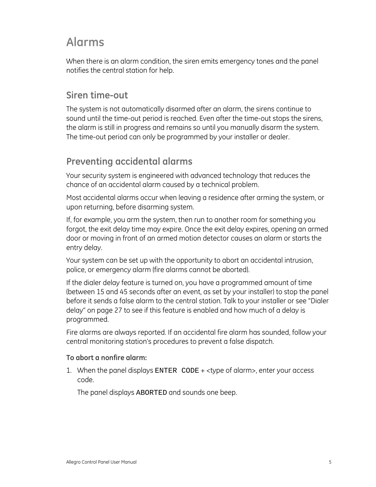## <span id="page-8-0"></span>**Alarms**

When there is an alarm condition, the siren emits emergency tones and the panel notifies the central station for help.

### **Siren time-out**

The system is not automatically disarmed after an alarm, the sirens continue to sound until the time-out period is reached. Even after the time-out stops the sirens, the alarm is still in progress and remains so until you manually disarm the system. The time-out period can only be programmed by your installer or dealer.

## **Preventing accidental alarms**

Your security system is engineered with advanced technology that reduces the chance of an accidental alarm caused by a technical problem.

Most accidental alarms occur when leaving a residence after arming the system, or upon returning, before disarming system.

If, for example, you arm the system, then run to another room for something you forgot, the exit delay time may expire. Once the exit delay expires, opening an armed door or moving in front of an armed motion detector causes an alarm or starts the entry delay.

Your system can be set up with the opportunity to abort an accidental intrusion, police, or emergency alarm (fire alarms cannot be aborted).

If the dialer delay feature is turned on, you have a programmed amount of time (between 15 and 45 seconds after an event, as set by your installer) to stop the panel before it sends a false alarm to the central station. Talk to your installer or see "Dialer delay" on page 27 to see if this feature is enabled and how much of a delay is programmed.

Fire alarms are always reported. If an accidental fire alarm has sounded, follow your central monitoring station's procedures to prevent a false dispatch.

#### **To abort a nonfire alarm:**

1. When the panel displays ENTER CODE + <type of alarm>, enter your access code.

The panel displays ABORTED and sounds one beep.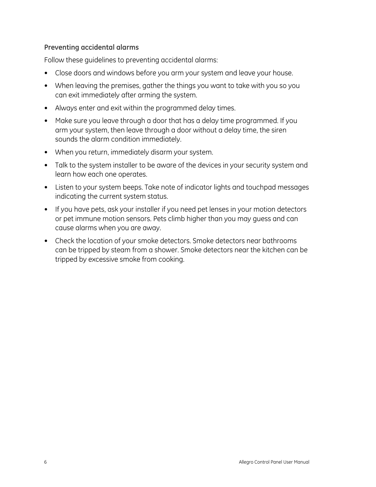#### **Preventing accidental alarms**

Follow these guidelines to preventing accidental alarms:

- Close doors and windows before you arm your system and leave your house.
- When leaving the premises, gather the things you want to take with you so you can exit immediately after arming the system.
- Always enter and exit within the programmed delay times.
- Make sure you leave through a door that has a delay time programmed. If you arm your system, then leave through a door without a delay time, the siren sounds the alarm condition immediately.
- When you return, immediately disarm your system.
- Talk to the system installer to be aware of the devices in your security system and learn how each one operates.
- Listen to your system beeps. Take note of indicator lights and touchpad messages indicating the current system status.
- If you have pets, ask your installer if you need pet lenses in your motion detectors or pet immune motion sensors. Pets climb higher than you may guess and can cause alarms when you are away.
- Check the location of your smoke detectors. Smoke detectors near bathrooms can be tripped by steam from a shower. Smoke detectors near the kitchen can be tripped by excessive smoke from cooking.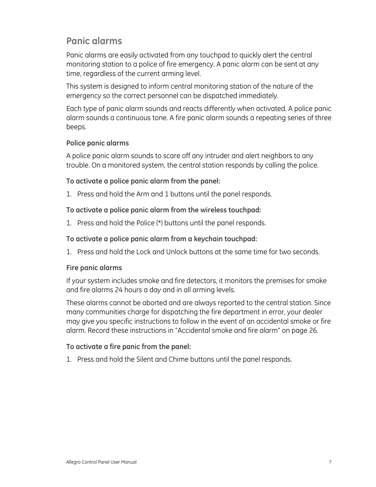## <span id="page-10-0"></span>**Panic alarms**

Panic alarms are easily activated from any touchpad to quickly alert the central monitoring station to a police of fire emergency. A panic alarm can be sent at any time, regardless of the current arming level.

This system is designed to inform central monitoring station of the nature of the emergency so the correct personnel can be dispatched immediately.

Each type of panic alarm sounds and reacts differently when activated. A police panic alarm sounds a continuous tone. A fire panic alarm sounds a repeating series of three beeps.

#### **Police panic alarms**

A police panic alarm sounds to scare off any intruder and alert neighbors to any trouble. On a monitored system, the central station responds by calling the police.

#### **To activate a police panic alarm from the panel:**

1. Press and hold the Arm and 1 buttons until the panel responds.

#### **To activate a police panic alarm from the wireless touchpad:**

1. Press and hold the Police (\*) buttons until the panel responds.

#### **To activate a police panic alarm from a keychain touchpad:**

1. Press and hold the Lock and Unlock buttons at the same time for two seconds.

#### **Fire panic alarms**

If your system includes smoke and fire detectors, it monitors the premises for smoke and fire alarms 24 hours a day and in all arming levels.

These alarms cannot be aborted and are always reported to the central station. Since many communities charge for dispatching the fire department in error, your dealer may give you specific instructions to follow in the event of an accidental smoke or fire alarm. Record these instructions in "Accidental smoke and fire alarm" on page 26.

#### **To activate a fire panic from the panel:**

1. Press and hold the Silent and Chime buttons until the panel responds.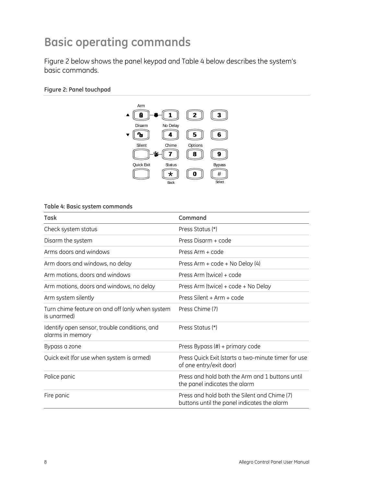## <span id="page-11-0"></span>**Basic operating commands**

Figure 2 below shows the panel keypad and Table 4 below describes the system's basic commands.

#### **Figure 2: Panel touchpad**



**Table 4: Basic system commands** 

| Task                                                              | Command                                                                                     |
|-------------------------------------------------------------------|---------------------------------------------------------------------------------------------|
| Check system status                                               | Press Status (*)                                                                            |
| Disarm the system                                                 | Press Disarm + code                                                                         |
| Arms doors and windows                                            | Press Arm + code                                                                            |
| Arm doors and windows, no delay                                   | Press Arm + code + No Delay (4)                                                             |
| Arm motions, doors and windows                                    | Press Arm (twice) + code                                                                    |
| Arm motions, doors and windows, no delay                          | Press Arm (twice) + code + No Delay                                                         |
| Arm system silently                                               | Press Silent + Arm + code                                                                   |
| Turn chime feature on and off (only when system<br>is unarmed)    | Press Chime (7)                                                                             |
| Identify open sensor, trouble conditions, and<br>alarms in memory | Press Status (*)                                                                            |
| Bypass a zone                                                     | Press Bypass (#) + primary code                                                             |
| Quick exit (for use when system is armed)                         | Press Quick Exit (starts a two-minute timer for use<br>of one entry/exit door)              |
| Police panic                                                      | Press and hold both the Arm and 1 buttons until<br>the panel indicates the alarm            |
| Fire panic                                                        | Press and hold both the Silent and Chime (7)<br>buttons until the panel indicates the alarm |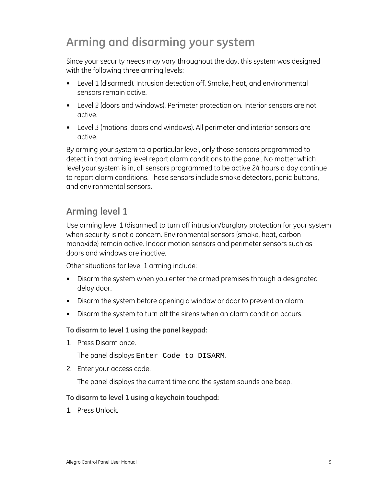## <span id="page-12-0"></span>**Arming and disarming your system**

Since your security needs may vary throughout the day, this system was designed with the following three arming levels:

- Level 1 (disarmed). Intrusion detection off. Smoke, heat, and environmental sensors remain active.
- Level 2 (doors and windows). Perimeter protection on. Interior sensors are not active.
- Level 3 (motions, doors and windows). All perimeter and interior sensors are active.

By arming your system to a particular level, only those sensors programmed to detect in that arming level report alarm conditions to the panel. No matter which level your system is in, all sensors programmed to be active 24 hours a day continue to report alarm conditions. These sensors include smoke detectors, panic buttons, and environmental sensors.

## **Arming level 1**

Use arming level 1 (disarmed) to turn off intrusion/burglary protection for your system when security is not a concern. Environmental sensors (smoke, heat, carbon monoxide) remain active. Indoor motion sensors and perimeter sensors such as doors and windows are inactive.

Other situations for level 1 arming include:

- Disarm the system when you enter the armed premises through a designated delay door.
- Disarm the system before opening a window or door to prevent an alarm.
- Disarm the system to turn off the sirens when an alarm condition occurs.

**To disarm to level 1 using the panel keypad:** 

1. Press Disarm once.

The panel displays Enter Code to DISARM.

2. Enter your access code.

The panel displays the current time and the system sounds one beep.

#### **To disarm to level 1 using a keychain touchpad:**

1. Press Unlock.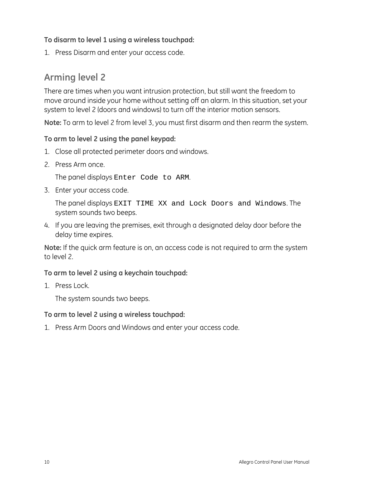#### <span id="page-13-0"></span>**To disarm to level 1 using a wireless touchpad:**

1. Press Disarm and enter your access code.

## **Arming level 2**

There are times when you want intrusion protection, but still want the freedom to move around inside your home without setting off an alarm. In this situation, set your system to level 2 (doors and windows) to turn off the interior motion sensors.

**Note:** To arm to level 2 from level 3, you must first disarm and then rearm the system.

#### **To arm to level 2 using the panel keypad:**

- 1. Close all protected perimeter doors and windows.
- 2. Press Arm once.

The panel displays Enter Code to ARM.

3. Enter your access code.

The panel displays EXIT TIME XX and Lock Doors and Windows. The system sounds two beeps.

4. If you are leaving the premises, exit through a designated delay door before the delay time expires.

**Note:** If the quick arm feature is on, an access code is not required to arm the system to level 2.

#### **To arm to level 2 using a keychain touchpad:**

1. Press Lock.

The system sounds two beeps.

**To arm to level 2 using a wireless touchpad:** 

1. Press Arm Doors and Windows and enter your access code.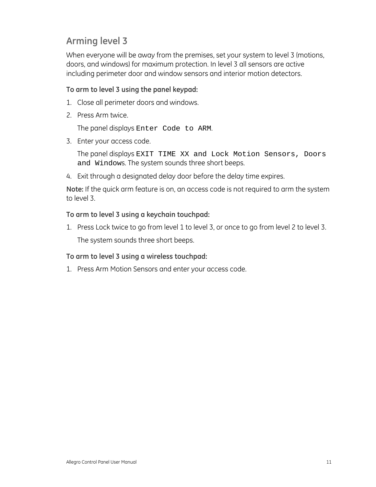## <span id="page-14-0"></span>**Arming level 3**

When everyone will be away from the premises, set your system to level 3 (motions, doors, and windows) for maximum protection. In level 3 all sensors are active including perimeter door and window sensors and interior motion detectors.

#### **To arm to level 3 using the panel keypad:**

- 1. Close all perimeter doors and windows.
- 2. Press Arm twice.

The panel displays Enter Code to ARM.

3. Enter your access code.

The panel displays EXIT TIME XX and Lock Motion Sensors, Doors and Windows. The system sounds three short beeps.

4. Exit through a designated delay door before the delay time expires.

**Note:** If the quick arm feature is on, an access code is not required to arm the system to level 3.

#### **To arm to level 3 using a keychain touchpad:**

1. Press Lock twice to go from level 1 to level 3, or once to go from level 2 to level 3. The system sounds three short beeps.

#### **To arm to level 3 using a wireless touchpad:**

1. Press Arm Motion Sensors and enter your access code.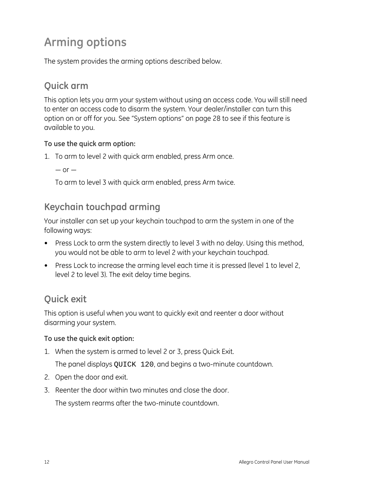## <span id="page-15-0"></span>**Arming options**

The system provides the arming options described below.

## **Quick arm**

This option lets you arm your system without using an access code. You will still need to enter an access code to disarm the system. Your dealer/installer can turn this option on or off for you. See "System options" on page 28 to see if this feature is available to you.

#### **To use the quick arm option:**

- 1. To arm to level 2 with quick arm enabled, press Arm once.
	- $-$  or  $-$

To arm to level 3 with quick arm enabled, press Arm twice.

## **Keychain touchpad arming**

Your installer can set up your keychain touchpad to arm the system in one of the following ways:

- Press Lock to arm the system directly to level 3 with no delay. Using this method, you would not be able to arm to level 2 with your keychain touchpad.
- Press Lock to increase the arming level each time it is pressed (level 1 to level 2, level 2 to level 3). The exit delay time begins.

## **Quick exit**

This option is useful when you want to quickly exit and reenter a door without disarming your system.

#### **To use the quick exit option:**

1. When the system is armed to level 2 or 3, press Quick Exit.

The panel displays QUICK 120, and begins a two-minute countdown.

- 2. Open the door and exit.
- 3. Reenter the door within two minutes and close the door.

The system rearms after the two-minute countdown.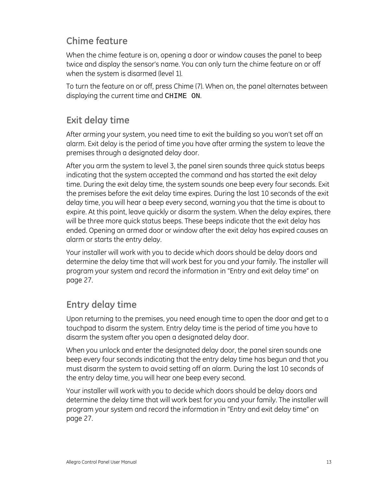## <span id="page-16-0"></span>**Chime feature**

When the chime feature is on, opening a door or window causes the panel to beep twice and display the sensor's name. You can only turn the chime feature on or off when the system is disarmed (level 1).

To turn the feature on or off, press Chime (7). When on, the panel alternates between displaying the current time and CHIME ON.

## **Exit delay time**

After arming your system, you need time to exit the building so you won't set off an alarm. Exit delay is the period of time you have after arming the system to leave the premises through a designated delay door.

After you arm the system to level 3, the panel siren sounds three quick status beeps indicating that the system accepted the command and has started the exit delay time. During the exit delay time, the system sounds one beep every four seconds. Exit the premises before the exit delay time expires. During the last 10 seconds of the exit delay time, you will hear a beep every second, warning you that the time is about to expire. At this point, leave quickly or disarm the system. When the delay expires, there will be three more quick status beeps. These beeps indicate that the exit delay has ended. Opening an armed door or window after the exit delay has expired causes an alarm or starts the entry delay.

Your installer will work with you to decide which doors should be delay doors and determine the delay time that will work best for you and your family. The installer will program your system and record the information in "Entry and exit delay time" on page 27.

## **Entry delay time**

Upon returning to the premises, you need enough time to open the door and get to a touchpad to disarm the system. Entry delay time is the period of time you have to disarm the system after you open a designated delay door.

When you unlock and enter the designated delay door, the panel siren sounds one beep every four seconds indicating that the entry delay time has begun and that you must disarm the system to avoid setting off an alarm. During the last 10 seconds of the entry delay time, you will hear one beep every second.

Your installer will work with you to decide which doors should be delay doors and determine the delay time that will work best for you and your family. The installer will program your system and record the information in "Entry and exit delay time" on page 27.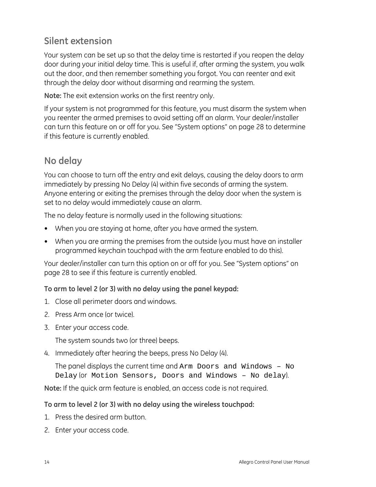## <span id="page-17-0"></span>**Silent extension**

Your system can be set up so that the delay time is restarted if you reopen the delay door during your initial delay time. This is useful if, after arming the system, you walk out the door, and then remember something you forgot. You can reenter and exit through the delay door without disarming and rearming the system.

**Note:** The exit extension works on the first reentry only.

If your system is not programmed for this feature, you must disarm the system when you reenter the armed premises to avoid setting off an alarm. Your dealer/installer can turn this feature on or off for you. See "System options" on page 28 to determine if this feature is currently enabled.

## **No delay**

You can choose to turn off the entry and exit delays, causing the delay doors to arm immediately by pressing No Delay (4) within five seconds of arming the system. Anyone entering or exiting the premises through the delay door when the system is set to no delay would immediately cause an alarm.

The no delay feature is normally used in the following situations:

- When you are staying at home, after you have armed the system.
- When you are arming the premises from the outside (you must have an installer programmed keychain touchpad with the arm feature enabled to do this).

Your dealer/installer can turn this option on or off for you. See "System options" on page 28 to see if this feature is currently enabled.

#### **To arm to level 2 (or 3) with no delay using the panel keypad:**

- 1. Close all perimeter doors and windows.
- 2. Press Arm once (or twice).
- 3. Enter your access code.

The system sounds two (or three) beeps.

4. Immediately after hearing the beeps, press No Delay (4).

The panel displays the current time and Arm Doors and Windows – No Delay (or Motion Sensors, Doors and Windows – No delay).

**Note:** If the quick arm feature is enabled, an access code is not required.

#### **To arm to level 2 (or 3) with no delay using the wireless touchpad:**

- 1. Press the desired arm button.
- 2. Enter your access code.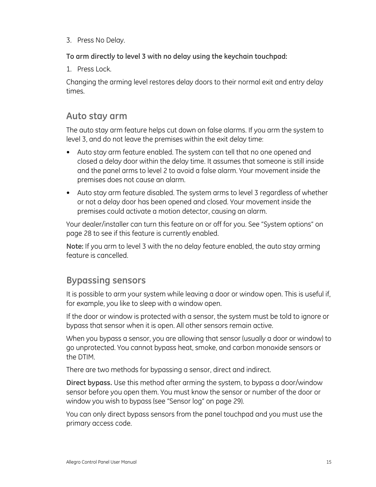<span id="page-18-0"></span>3. Press No Delay.

**To arm directly to level 3 with no delay using the keychain touchpad:** 

1. Press Lock.

Changing the arming level restores delay doors to their normal exit and entry delay times.

### **Auto stay arm**

The auto stay arm feature helps cut down on false alarms. If you arm the system to level 3, and do not leave the premises within the exit delay time:

- Auto stay arm feature enabled. The system can tell that no one opened and closed a delay door within the delay time. It assumes that someone is still inside and the panel arms to level 2 to avoid a false alarm. Your movement inside the premises does not cause an alarm.
- Auto stay arm feature disabled. The system arms to level 3 regardless of whether or not a delay door has been opened and closed. Your movement inside the premises could activate a motion detector, causing an alarm.

Your dealer/installer can turn this feature on or off for you. See "System options" on page 28 to see if this feature is currently enabled.

**Note:** If you arm to level 3 with the no delay feature enabled, the auto stay arming feature is cancelled.

## **Bypassing sensors**

It is possible to arm your system while leaving a door or window open. This is useful if, for example, you like to sleep with a window open.

If the door or window is protected with a sensor, the system must be told to ignore or bypass that sensor when it is open. All other sensors remain active.

When you bypass a sensor, you are allowing that sensor (usually a door or window) to go unprotected. You cannot bypass heat, smoke, and carbon monoxide sensors or the DTIM.

There are two methods for bypassing a sensor, direct and indirect.

**Direct bypass.** Use this method after arming the system, to bypass a door/window sensor before you open them. You must know the sensor or number of the door or window you wish to bypass (see "Sensor log" on page 29).

You can only direct bypass sensors from the panel touchpad and you must use the primary access code.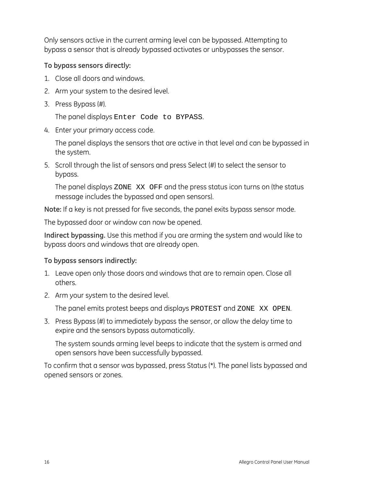Only sensors active in the current arming level can be bypassed. Attempting to bypass a sensor that is already bypassed activates or unbypasses the sensor.

#### **To bypass sensors directly:**

- 1. Close all doors and windows.
- 2. Arm your system to the desired level.
- 3. Press Bypass (#).

The panel displays Enter Code to BYPASS.

4. Enter your primary access code.

The panel displays the sensors that are active in that level and can be bypassed in the system.

5. Scroll through the list of sensors and press Select (#) to select the sensor to bypass.

The panel displays ZONE XX OFF and the press status icon turns on (the status message includes the bypassed and open sensors).

**Note:** If a key is not pressed for five seconds, the panel exits bypass sensor mode.

The bypassed door or window can now be opened.

**Indirect bypassing.** Use this method if you are arming the system and would like to bypass doors and windows that are already open.

#### **To bypass sensors indirectly:**

- 1. Leave open only those doors and windows that are to remain open. Close all others.
- 2. Arm your system to the desired level.

The panel emits protest beeps and displays PROTEST and ZONE XX OPEN.

3. Press Bypass (#) to immediately bypass the sensor, or allow the delay time to expire and the sensors bypass automatically.

The system sounds arming level beeps to indicate that the system is armed and open sensors have been successfully bypassed.

To confirm that a sensor was bypassed, press Status (\*). The panel lists bypassed and opened sensors or zones.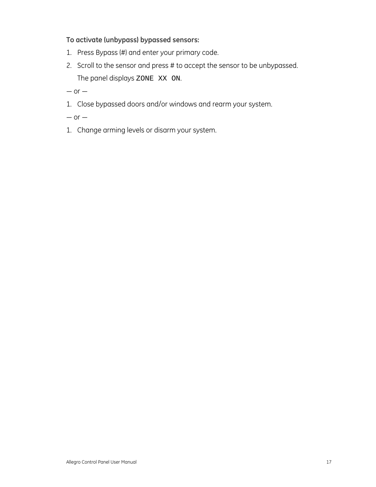#### **To activate (unbypass) bypassed sensors:**

- 1. Press Bypass (#) and enter your primary code.
- 2. Scroll to the sensor and press # to accept the sensor to be unbypassed. The panel displays ZONE XX ON.

 $-$  or  $-$ 

- 1. Close bypassed doors and/or windows and rearm your system.
- $-$  or  $-$
- 1. Change arming levels or disarm your system.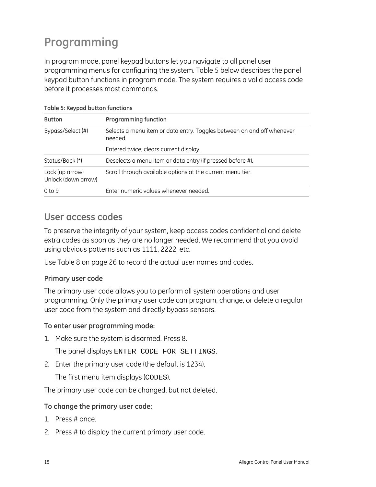## <span id="page-21-0"></span>**Programming**

In program mode, panel keypad buttons let you navigate to all panel user programming menus for configuring the system. Table 5 below describes the panel keypad button functions in program mode. The system requires a valid access code before it processes most commands.

| <b>Button</b>                          | <b>Programming function</b>                                                       |
|----------------------------------------|-----------------------------------------------------------------------------------|
| Bypass/Select (#)                      | Selects a menu item or data entry. Toggles between on and off whenever<br>needed. |
|                                        | Entered twice, clears current display.                                            |
| Status/Back (*)                        | Deselects a menu item or data entry (if pressed before #).                        |
| Lock (up arrow)<br>Unlock (down arrow) | Scroll through available options at the current menu tier.                        |
| 0 <sub>to</sub> 9                      | Enter numeric values whenever needed.                                             |

**Table 5: Keypad button functions** 

### **User access codes**

To preserve the integrity of your system, keep access codes confidential and delete extra codes as soon as they are no longer needed. We recommend that you avoid using obvious patterns such as 1111, 2222, etc.

Use Table 8 on page 26 to record the actual user names and codes.

#### **Primary user code**

The primary user code allows you to perform all system operations and user programming. Only the primary user code can program, change, or delete a regular user code from the system and directly bypass sensors.

#### **To enter user programming mode:**

1. Make sure the system is disarmed. Press 8.

The panel displays ENTER CODE FOR SETTINGS.

2. Enter the primary user code (the default is 1234).

The first menu item displays (CODES).

The primary user code can be changed, but not deleted.

#### **To change the primary user code:**

- 1. Press # once.
- 2. Press # to display the current primary user code.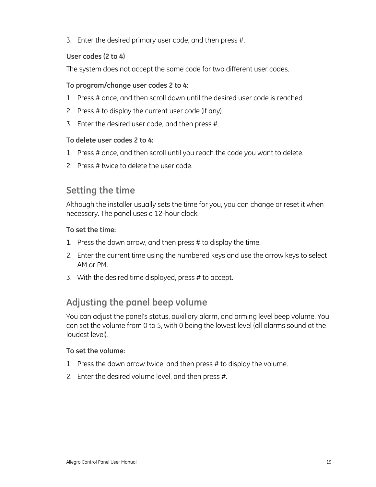<span id="page-22-0"></span>3. Enter the desired primary user code, and then press #.

#### **User codes (2 to 4)**

The system does not accept the same code for two different user codes.

#### **To program/change user codes 2 to 4:**

- 1. Press # once, and then scroll down until the desired user code is reached.
- 2. Press # to display the current user code (if any).
- 3. Enter the desired user code, and then press #.

#### **To delete user codes 2 to 4:**

- 1. Press # once, and then scroll until you reach the code you want to delete.
- 2. Press # twice to delete the user code.

### **Setting the time**

Although the installer usually sets the time for you, you can change or reset it when necessary. The panel uses a 12-hour clock.

#### **To set the time:**

- 1. Press the down arrow, and then press # to display the time.
- 2. Enter the current time using the numbered keys and use the arrow keys to select AM or PM.
- 3. With the desired time displayed, press # to accept.

## **Adjusting the panel beep volume**

You can adjust the panel's status, auxiliary alarm, and arming level beep volume. You can set the volume from 0 to 5, with 0 being the lowest level (all alarms sound at the loudest level).

#### **To set the volume:**

- 1. Press the down arrow twice, and then press # to display the volume.
- 2. Enter the desired volume level, and then press #.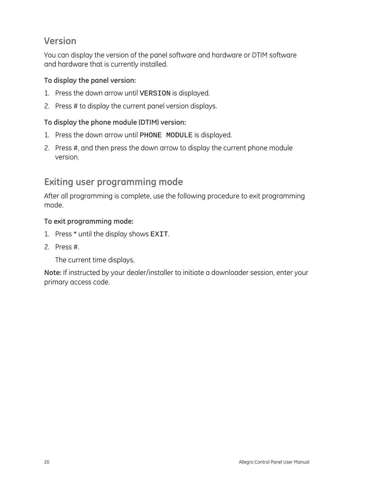## <span id="page-23-0"></span>**Version**

You can display the version of the panel software and hardware or DTIM software and hardware that is currently installed.

#### **To display the panel version:**

- 1. Press the down arrow until VERSION is displayed.
- 2. Press # to display the current panel version displays.

#### **To display the phone module (DTIM) version:**

- 1. Press the down arrow until PHONE MODULE is displayed.
- 2. Press #, and then press the down arrow to display the current phone module version.

## **Exiting user programming mode**

After all programming is complete, use the following procedure to exit programming mode.

#### **To exit programming mode:**

- 1. Press \* until the display shows EXIT.
- 2. Press #.

The current time displays.

**Note:** If instructed by your dealer/installer to initiate a downloader session, enter your primary access code.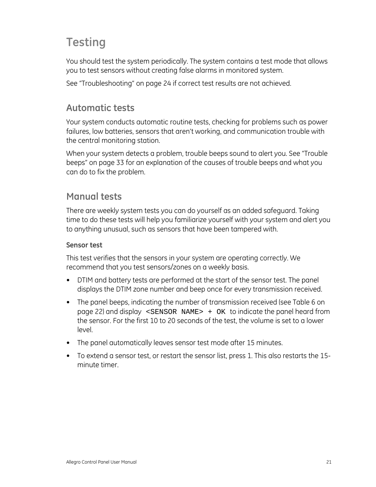## <span id="page-24-0"></span>**Testing**

You should test the system periodically. The system contains a test mode that allows you to test sensors without creating false alarms in monitored system.

See "Troubleshooting" on page 24 if correct test results are not achieved.

## **Automatic tests**

Your system conducts automatic routine tests, checking for problems such as power failures, low batteries, sensors that aren't working, and communication trouble with the central monitoring station.

When your system detects a problem, trouble beeps sound to alert you. See "Trouble beeps" on page 33 for an explanation of the causes of trouble beeps and what you can do to fix the problem.

## **Manual tests**

There are weekly system tests you can do yourself as an added safeguard. Taking time to do these tests will help you familiarize yourself with your system and alert you to anything unusual, such as sensors that have been tampered with.

#### **Sensor test**

This test verifies that the sensors in your system are operating correctly. We recommend that you test sensors/zones on a weekly basis.

- DTIM and battery tests are performed at the start of the sensor test. The panel displays the DTIM zone number and beep once for every transmission received.
- The panel beeps, indicating the number of transmission received (see Table 6 on page 22) and display <SENSOR NAME> + OK to indicate the panel heard from the sensor. For the first 10 to 20 seconds of the test, the volume is set to a lower level.
- The panel automatically leaves sensor test mode after 15 minutes.
- To extend a sensor test, or restart the sensor list, press 1. This also restarts the 15 minute timer.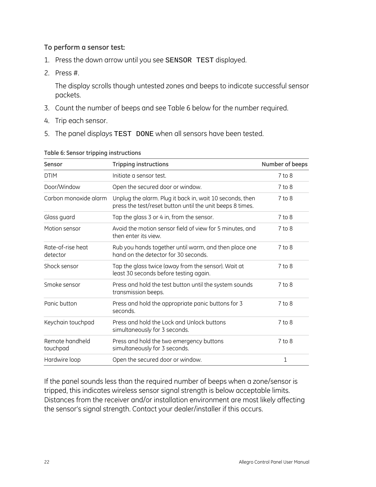#### **To perform a sensor test:**

- 1. Press the down arrow until you see SENSOR TEST displayed.
- 2. Press #.

The display scrolls though untested zones and beeps to indicate successful sensor packets.

- 3. Count the number of beeps and see Table 6 below for the number required.
- 4. Trip each sensor.
- 5. The panel displays TEST DONE when all sensors have been tested.

| <b>DTIM</b><br>Initiate a sensor test.<br>Door/Window<br>Open the secured door or window.<br>Carbon monoxide alarm<br>Unplug the alarm. Plug it back in, wait 10 seconds, then<br>press the test/reset button until the unit beeps 8 times.<br>Glass guard<br>Tap the glass 3 or 4 in, from the sensor.<br>Avoid the motion sensor field of view for 5 minutes, and<br>Motion sensor<br>then enter its view.<br>Rate-of-rise heat<br>Rub you hands together until warm, and then place one<br>hand on the detector for 30 seconds.<br>detector<br>Shock sensor<br>Tap the glass twice (away from the sensor). Wait at | Number of beeps |
|-----------------------------------------------------------------------------------------------------------------------------------------------------------------------------------------------------------------------------------------------------------------------------------------------------------------------------------------------------------------------------------------------------------------------------------------------------------------------------------------------------------------------------------------------------------------------------------------------------------------------|-----------------|
|                                                                                                                                                                                                                                                                                                                                                                                                                                                                                                                                                                                                                       | $7$ to $8$      |
|                                                                                                                                                                                                                                                                                                                                                                                                                                                                                                                                                                                                                       | $7$ to $8$      |
|                                                                                                                                                                                                                                                                                                                                                                                                                                                                                                                                                                                                                       | $7$ to $8$      |
|                                                                                                                                                                                                                                                                                                                                                                                                                                                                                                                                                                                                                       | $7$ to $8$      |
|                                                                                                                                                                                                                                                                                                                                                                                                                                                                                                                                                                                                                       | 7 to 8          |
|                                                                                                                                                                                                                                                                                                                                                                                                                                                                                                                                                                                                                       | 7 to 8          |
| least 30 seconds before testing again.                                                                                                                                                                                                                                                                                                                                                                                                                                                                                                                                                                                | 7 to 8          |
| Smoke sensor<br>Press and hold the test button until the system sounds<br>transmission beeps.                                                                                                                                                                                                                                                                                                                                                                                                                                                                                                                         | 7 to 8          |
| Panic button<br>Press and hold the appropriate panic buttons for 3<br>seconds.                                                                                                                                                                                                                                                                                                                                                                                                                                                                                                                                        | $7$ to $8$      |
| Keychain touchpad<br>Press and hold the Lock and Unlock buttons<br>simultaneously for 3 seconds.                                                                                                                                                                                                                                                                                                                                                                                                                                                                                                                      | $7$ to $8$      |
| Remote handheld<br>Press and hold the two emergency buttons<br>simultaneously for 3 seconds.<br>touchpad                                                                                                                                                                                                                                                                                                                                                                                                                                                                                                              | $7$ to $8$      |
| Hardwire loop<br>Open the secured door or window.                                                                                                                                                                                                                                                                                                                                                                                                                                                                                                                                                                     | 1               |

#### **Table 6: Sensor tripping instructions**

If the panel sounds less than the required number of beeps when a zone/sensor is tripped, this indicates wireless sensor signal strength is below acceptable limits. Distances from the receiver and/or installation environment are most likely affecting the sensor's signal strength. Contact your dealer/installer if this occurs.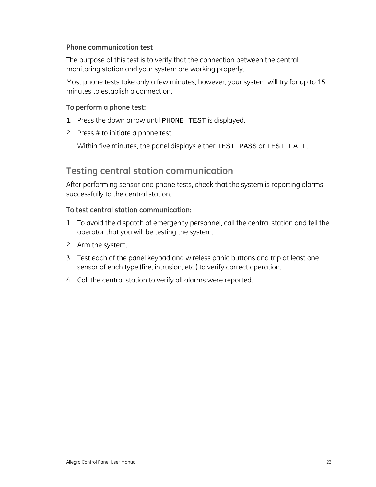#### <span id="page-26-0"></span>**Phone communication test**

The purpose of this test is to verify that the connection between the central monitoring station and your system are working properly.

Most phone tests take only a few minutes, however, your system will try for up to 15 minutes to establish a connection.

#### **To perform a phone test:**

- 1. Press the down arrow until PHONE TEST is displayed.
- 2. Press # to initiate a phone test.

Within five minutes, the panel displays either TEST PASS or TEST FAIL.

#### **Testing central station communication**

After performing sensor and phone tests, check that the system is reporting alarms successfully to the central station.

#### **To test central station communication:**

- 1. To avoid the dispatch of emergency personnel, call the central station and tell the operator that you will be testing the system.
- 2. Arm the system.
- 3. Test each of the panel keypad and wireless panic buttons and trip at least one sensor of each type (fire, intrusion, etc.) to verify correct operation.
- 4. Call the central station to verify all alarms were reported.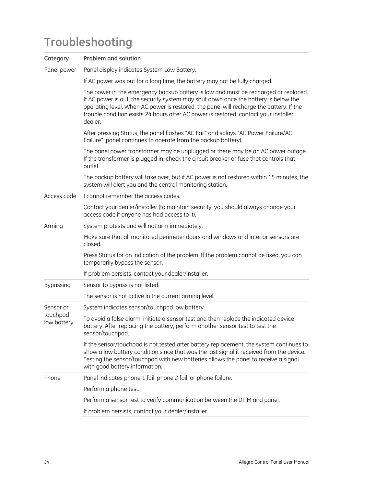## <span id="page-27-0"></span>**Troubleshooting**

| Category                | <b>Problem and solution</b>                                                                                                                                                                                                                                                                                                                                              |
|-------------------------|--------------------------------------------------------------------------------------------------------------------------------------------------------------------------------------------------------------------------------------------------------------------------------------------------------------------------------------------------------------------------|
| Panel power             | Panel display indicates System Low Battery.                                                                                                                                                                                                                                                                                                                              |
|                         | If AC power was out for a long time, the battery may not be fully charged.                                                                                                                                                                                                                                                                                               |
|                         | The power in the emergency backup battery is low and must be recharged or replaced.<br>If AC power is out, the security system may shut down once the battery is below the<br>operating level. When AC power is restored, the panel will recharge the battery. If the<br>trouble condition exists 24 hours after AC power is restored, contact your installer<br>dealer. |
|                         | After pressing Status, the panel flashes "AC Fail" or displays "AC Power Failure/AC<br>Failure" (panel continues to operate from the backup battery).                                                                                                                                                                                                                    |
|                         | The panel power transformer may be unplugged or there may be an AC power outage.<br>If the transformer is plugged in, check the circuit breaker or fuse that controls that<br>outlet.                                                                                                                                                                                    |
|                         | The backup battery will take over, but if AC power is not restored within 15 minutes, the<br>system will alert you and the central monitoring station.                                                                                                                                                                                                                   |
| Access code             | I cannot remember the access codes.                                                                                                                                                                                                                                                                                                                                      |
|                         | Contact your dealer/installer (to maintain security, you should always change your<br>access code if anyone has had access to it).                                                                                                                                                                                                                                       |
| Arming                  | System protests and will not arm immediately.                                                                                                                                                                                                                                                                                                                            |
|                         | Make sure that all monitored perimeter doors and windows and interior sensors are<br>closed.                                                                                                                                                                                                                                                                             |
|                         | Press Status for an indication of the problem. If the problem cannot be fixed, you can<br>temporarily bypass the sensor.                                                                                                                                                                                                                                                 |
|                         | If problem persists, contact your dealer/installer.                                                                                                                                                                                                                                                                                                                      |
| Bypassing               | Sensor to bypass is not listed.                                                                                                                                                                                                                                                                                                                                          |
|                         | The sensor is not active in the current arming level.                                                                                                                                                                                                                                                                                                                    |
| Sensor or               | System indicates sensor/touchpad low battery.                                                                                                                                                                                                                                                                                                                            |
| touchpad<br>low battery | To avoid a false alarm, initiate a sensor test and then replace the indicated device<br>battery. After replacing the battery, perform another sensor test to test the<br>sensor/touchpad.                                                                                                                                                                                |
|                         | If the sensor/touchpad is not tested after battery replacement, the system continues to<br>show a low battery condition since that was the last signal it received from the device.<br>Testing the sensor/touchpad with new batteries allows the panel to receive a signal<br>with good battery information.                                                             |
| Phone                   | Panel indicates phone 1 fail, phone 2 fail, or phone failure.                                                                                                                                                                                                                                                                                                            |
|                         | Perform a phone test.                                                                                                                                                                                                                                                                                                                                                    |
|                         | Perform a sensor test to verify communication between the DTIM and panel.                                                                                                                                                                                                                                                                                                |
|                         | If problem persists, contact your dealer/installer.                                                                                                                                                                                                                                                                                                                      |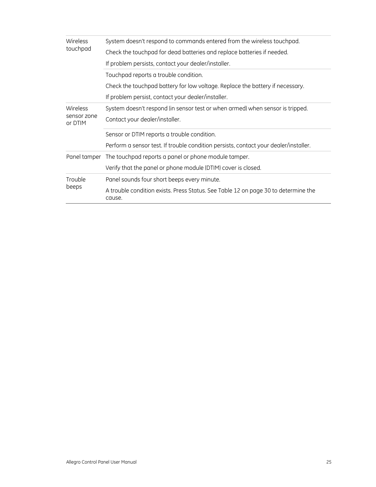| Wireless               | System doesn't respond to commands entered from the wireless touchpad.                       |
|------------------------|----------------------------------------------------------------------------------------------|
| touchpad               | Check the touchpad for dead batteries and replace batteries if needed.                       |
|                        | If problem persists, contact your dealer/installer.                                          |
|                        | Touchpad reports a trouble condition.                                                        |
|                        | Check the touchpad battery for low voltage. Replace the battery if necessary.                |
|                        | If problem persist, contact your dealer/installer.                                           |
| Wireless               | System doesn't respond (in sensor test or when armed) when sensor is tripped.                |
| sensor zone<br>or DTIM | Contact your dealer/installer.                                                               |
|                        | Sensor or DTIM reports a trouble condition.                                                  |
|                        | Perform a sensor test. If trouble condition persists, contact your dealer/installer.         |
| Panel tamper           | The touchpad reports a panel or phone module tamper.                                         |
|                        | Verify that the panel or phone module (DTIM) cover is closed.                                |
| Trouble<br>beeps       | Panel sounds four short beeps every minute.                                                  |
|                        | A trouble condition exists. Press Status. See Table 12 on page 30 to determine the<br>cause. |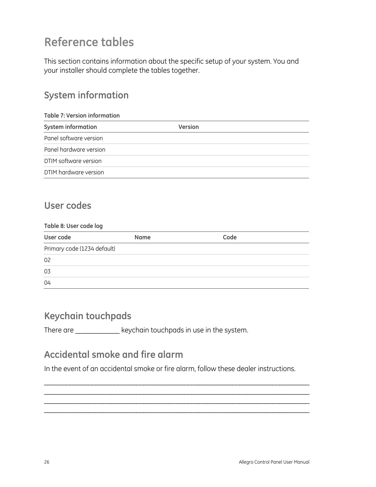## <span id="page-29-1"></span><span id="page-29-0"></span>**Reference tables**

This section contains information about the specific setup of your system. You and your installer should complete the tables together.

## **System information**

| <b>Table 7: Version information</b> |                |  |  |
|-------------------------------------|----------------|--|--|
| System information                  | <b>Version</b> |  |  |
| Panel software version              |                |  |  |
| Panel hardware version              |                |  |  |
| DTIM software version               |                |  |  |
| DTIM hardware version               |                |  |  |

## **User codes**

| Table 8: User code log      |             |      |  |
|-----------------------------|-------------|------|--|
| User code                   | <b>Name</b> | Code |  |
| Primary code (1234 default) |             |      |  |
| 02                          |             |      |  |
| 03                          |             |      |  |
| 04                          |             |      |  |

## **Keychain touchpads**

There are \_\_\_\_\_\_\_\_\_\_\_\_\_\_ keychain touchpads in use in the system.

## **Accidental smoke and fire alarm**

In the event of an accidental smoke or fire alarm, follow these dealer instructions.

 $\mathcal{L}_\text{max} = \mathcal{L}_\text{max} = \mathcal{L}_\text{max} = \mathcal{L}_\text{max} = \mathcal{L}_\text{max} = \mathcal{L}_\text{max} = \mathcal{L}_\text{max} = \mathcal{L}_\text{max} = \mathcal{L}_\text{max} = \mathcal{L}_\text{max} = \mathcal{L}_\text{max} = \mathcal{L}_\text{max} = \mathcal{L}_\text{max} = \mathcal{L}_\text{max} = \mathcal{L}_\text{max} = \mathcal{L}_\text{max} = \mathcal{L}_\text{max} = \mathcal{L}_\text{max} = \mathcal{$  $\mathcal{L}_\text{max} = \mathcal{L}_\text{max} = \mathcal{L}_\text{max} = \mathcal{L}_\text{max} = \mathcal{L}_\text{max} = \mathcal{L}_\text{max} = \mathcal{L}_\text{max} = \mathcal{L}_\text{max} = \mathcal{L}_\text{max} = \mathcal{L}_\text{max} = \mathcal{L}_\text{max} = \mathcal{L}_\text{max} = \mathcal{L}_\text{max} = \mathcal{L}_\text{max} = \mathcal{L}_\text{max} = \mathcal{L}_\text{max} = \mathcal{L}_\text{max} = \mathcal{L}_\text{max} = \mathcal{$  $\mathcal{L}_\text{max} = \mathcal{L}_\text{max} = \mathcal{L}_\text{max} = \mathcal{L}_\text{max} = \mathcal{L}_\text{max} = \mathcal{L}_\text{max} = \mathcal{L}_\text{max} = \mathcal{L}_\text{max} = \mathcal{L}_\text{max} = \mathcal{L}_\text{max} = \mathcal{L}_\text{max} = \mathcal{L}_\text{max} = \mathcal{L}_\text{max} = \mathcal{L}_\text{max} = \mathcal{L}_\text{max} = \mathcal{L}_\text{max} = \mathcal{L}_\text{max} = \mathcal{L}_\text{max} = \mathcal{$ \_\_\_\_\_\_\_\_\_\_\_\_\_\_\_\_\_\_\_\_\_\_\_\_\_\_\_\_\_\_\_\_\_\_\_\_\_\_\_\_\_\_\_\_\_\_\_\_\_\_\_\_\_\_\_\_\_\_\_\_\_\_\_\_\_\_\_\_\_\_\_\_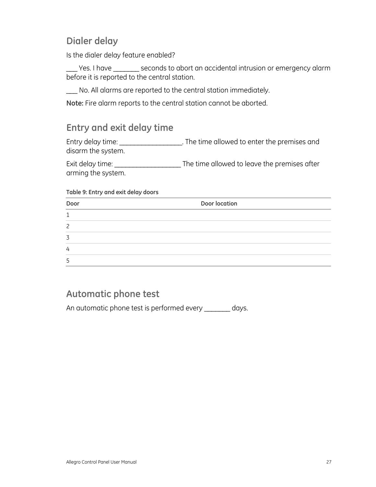## <span id="page-30-0"></span>**Dialer delay**

Is the dialer delay feature enabled?

\_\_\_ Yes. I have \_\_\_\_\_\_\_ seconds to abort an accidental intrusion or emergency alarm before it is reported to the central station.

\_\_\_ No. All alarms are reported to the central station immediately.

**Note:** Fire alarm reports to the central station cannot be aborted.

## **Entry and exit delay time**

Entry delay time: \_\_\_\_\_\_\_\_\_\_\_\_\_\_\_\_\_\_\_\_\_. The time allowed to enter the premises and disarm the system.

Exit delay time: \_\_\_\_\_\_\_\_\_\_\_\_\_\_\_\_\_\_\_\_\_\_\_\_\_\_The time allowed to leave the premises after arming the system.

#### **Table 9: Entry and exit delay doors**

| Door | Door location |
|------|---------------|
| ٠    |               |
| っ    |               |
| ⇁    |               |
| 4    |               |
| כ    |               |

### **Automatic phone test**

An automatic phone test is performed every \_\_\_\_\_\_\_ days.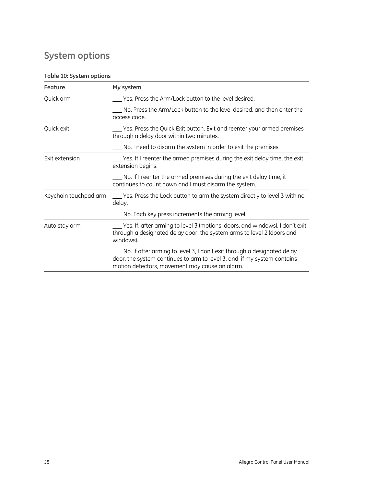## <span id="page-31-0"></span>**System options**

#### **Table 10: System options**

| Feature               | My system                                                                                                                                                                                             |
|-----------------------|-------------------------------------------------------------------------------------------------------------------------------------------------------------------------------------------------------|
| Quick arm             | Yes. Press the Arm/Lock button to the level desired.                                                                                                                                                  |
|                       | No. Press the Arm/Lock button to the level desired, and then enter the<br>access code.                                                                                                                |
| Quick exit            | Yes. Press the Quick Exit button. Exit and reenter your armed premises<br>through a delay door within two minutes.                                                                                    |
|                       | No. I need to disarm the system in order to exit the premises.                                                                                                                                        |
| Exit extension        | Yes. If I reenter the armed premises during the exit delay time, the exit<br>extension begins.                                                                                                        |
|                       | No. If I reenter the armed premises during the exit delay time, it<br>continues to count down and I must disarm the system.                                                                           |
| Keychain touchpad arm | ___ Yes. Press the Lock button to arm the system directly to level 3 with no<br>delay.                                                                                                                |
|                       | No. Each key press increments the arming level.                                                                                                                                                       |
| Auto stay arm         | Yes. If, after arming to level 3 (motions, doors, and windows), I don't exit<br>through a designated delay door, the system arms to level 2 (doors and<br>windows).                                   |
|                       | No. If after arming to level 3, I don't exit through a designated delay<br>door, the system continues to arm to level 3, and, if my system contains<br>motion detectors, movement may cause an alarm. |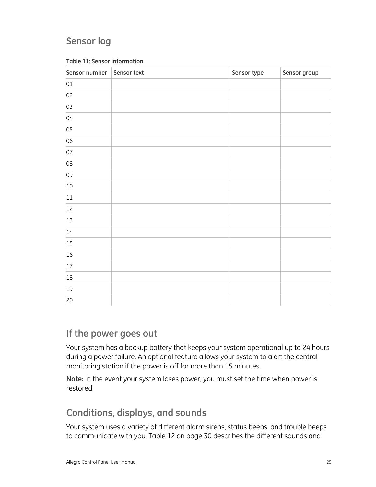## <span id="page-32-0"></span>**Sensor log**

| Sensor number | Sensor text | Sensor type | Sensor group |
|---------------|-------------|-------------|--------------|
| $01\,$        |             |             |              |
| 02            |             |             |              |
| 03            |             |             |              |
| $04$          |             |             |              |
| $05\,$        |             |             |              |
| 06            |             |             |              |
| 07            |             |             |              |
| ${\tt 08}$    |             |             |              |
| 09            |             |             |              |
| $10\,$        |             |             |              |
| $11\,$        |             |             |              |
| $12\,$        |             |             |              |
| $13\,$        |             |             |              |
| $14\,$        |             |             |              |
| $15\,$        |             |             |              |
| $16\,$        |             |             |              |
| $17\,$        |             |             |              |
| $18\,$        |             |             |              |
| 19            |             |             |              |
| $20\,$        |             |             |              |

#### **Table 11: Sensor information**

### **If the power goes out**

Your system has a backup battery that keeps your system operational up to 24 hours during a power failure. An optional feature allows your system to alert the central monitoring station if the power is off for more than 15 minutes.

**Note:** In the event your system loses power, you must set the time when power is restored.

## **Conditions, displays, and sounds**

Your system uses a variety of different alarm sirens, status beeps, and trouble beeps to communicate with you. Table 12 on page 30 describes the different sounds and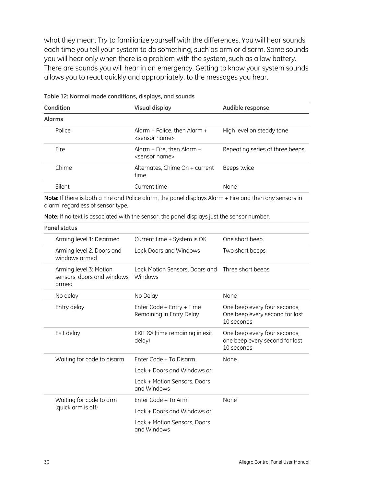what they mean. Try to familiarize yourself with the differences. You will hear sounds each time you tell your system to do something, such as arm or disarm. Some sounds you will hear only when there is a problem with the system, such as a low battery. There are sounds you will hear in an emergency. Getting to know your system sounds allows you to react quickly and appropriately, to the messages you hear.

| Condition     | <b>Visual display</b>                                     | Audible response                |  |
|---------------|-----------------------------------------------------------|---------------------------------|--|
| <b>Alarms</b> |                                                           |                                 |  |
| Police        | Alarm + Police, then Alarm +<br><sensor name=""></sensor> | High level on steady tone       |  |
| <b>Fire</b>   | Alarm + Fire, then Alarm +<br><sensor name=""></sensor>   | Repeating series of three beeps |  |
| Chime         | Alternates, Chime On + current<br>time                    | Beeps twice                     |  |
| Silent        | Current time                                              | None                            |  |
|               |                                                           |                                 |  |

**Table 12: Normal mode conditions, displays, and sounds** 

**Note:** If there is both a Fire and Police alarm, the panel displays Alarm + Fire and then any sensors in alarm, regardless of sensor type.

**Note:** If no text is associated with the sensor, the panel displays just the sensor number.

|  | <b>Panel status</b>                                           |                                                       |                                                                              |
|--|---------------------------------------------------------------|-------------------------------------------------------|------------------------------------------------------------------------------|
|  | Arming level 1: Disarmed                                      | Current time + System is OK                           | One short beep.                                                              |
|  | Arming level 2: Doors and<br>windows armed                    | Lock Doors and Windows                                | Two short beeps                                                              |
|  | Arming level 3: Motion<br>sensors, doors and windows<br>armed | Lock Motion Sensors, Doors and<br>Windows             | Three short beeps                                                            |
|  | No delay                                                      | No Delay                                              | None                                                                         |
|  | Entry delay                                                   | Enter Code + Entry + Time<br>Remaining in Entry Delay | One beep every four seconds,<br>One beep every second for last<br>10 seconds |
|  | Exit delay                                                    | EXIT XX (time remaining in exit<br>delay)             | One beep every four seconds,<br>one beep every second for last<br>10 seconds |
|  | Waiting for code to disarm                                    | Enter Code + To Disarm                                | None                                                                         |
|  |                                                               | Lock + Doors and Windows or                           |                                                                              |
|  |                                                               | Lock + Motion Sensors, Doors<br>and Windows           |                                                                              |
|  | Waiting for code to arm<br>(quick arm is off)                 | Enter Code + To Arm                                   | None                                                                         |
|  |                                                               | Lock + Doors and Windows or                           |                                                                              |
|  |                                                               | Lock + Motion Sensors, Doors<br>and Windows           |                                                                              |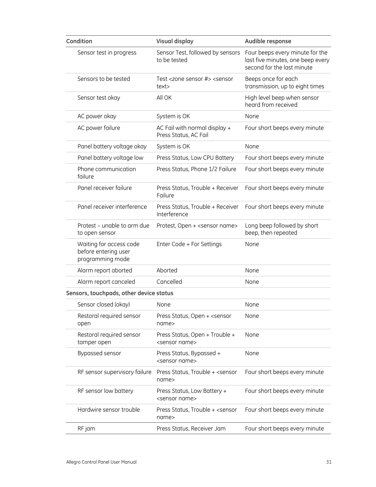| Condition                                                           | <b>Visual display</b>                                             | Audible response                                                                                   |
|---------------------------------------------------------------------|-------------------------------------------------------------------|----------------------------------------------------------------------------------------------------|
| Sensor test in progress                                             | Sensor Test, followed by sensors<br>to be tested                  | Four beeps every minute for the<br>last five minutes, one beep every<br>second for the last minute |
| Sensors to be tested                                                | Test <zone #="" sensor=""> <sensor<br>text&gt;</sensor<br></zone> | Beeps once for each<br>transmission, up to eight times                                             |
| Sensor test okay                                                    | All OK                                                            | High level beep when sensor<br>heard from received                                                 |
| AC power okay                                                       | System is OK                                                      | None                                                                                               |
| AC power failure                                                    | AC Fail with normal display +<br>Press Status, AC Fail            | Four short beeps every minute                                                                      |
| Panel battery voltage okay                                          | System is OK                                                      | None                                                                                               |
| Panel battery voltage low                                           | Press Status, Low CPU Battery                                     | Four short beeps every minute                                                                      |
| Phone communication<br>failure                                      | Press Status, Phone 1/2 Failure                                   | Four short beeps every minute                                                                      |
| Panel receiver failure                                              | Press Status, Trouble + Receiver<br>Failure                       | Four short beeps every minute                                                                      |
| Panel receiver interference                                         | Press Status, Trouble + Receiver<br>Interference                  | Four short beeps every minute                                                                      |
| Protest – unable to arm due<br>to open sensor                       | Protest, Open + <sensor name=""></sensor>                         | Long beep followed by short<br>beep, then repeated                                                 |
| Waiting for access code<br>before entering user<br>programming mode | Enter Code + For Settings                                         | None                                                                                               |
| Alarm report aborted                                                | Aborted                                                           | None                                                                                               |
| Alarm report canceled                                               | Cancelled                                                         | None                                                                                               |
| Sensors, touchpads, other device status                             |                                                                   |                                                                                                    |
| Sensor closed (okay)                                                | None                                                              | None                                                                                               |
| Restoral required sensor<br>open                                    | Press Status, Open + <sensor<br>name&gt;</sensor<br>              | None                                                                                               |
| Restoral required sensor<br>tamper open                             | Press Status, Open + Trouble +<br><sensor name=""></sensor>       | None                                                                                               |
| Bypassed sensor                                                     | Press Status, Bypassed +<br><sensor name=""></sensor>             | None                                                                                               |
| RF sensor supervisory failure                                       | Press Status, Trouble + <sensor<br>name&gt;</sensor<br>           | Four short beeps every minute                                                                      |
| RF sensor low battery                                               | Press Status, Low Battery +<br><sensor name=""></sensor>          | Four short beeps every minute                                                                      |
| Hardwire sensor trouble                                             | Press Status, Trouble + <sensor<br>name&gt;</sensor<br>           | Four short beeps every minute                                                                      |
| RF jam                                                              | Press Status, Receiver Jam                                        | Four short beeps every minute                                                                      |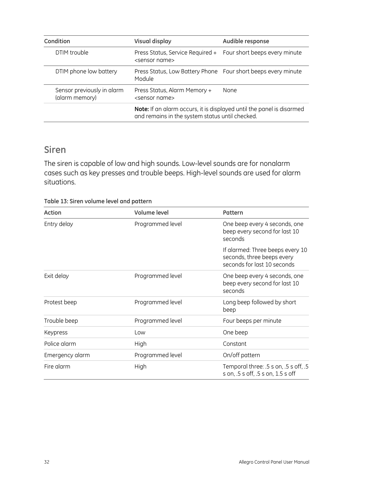<span id="page-35-0"></span>

| Condition                                    | Visual display                                                                                                           | Audible response |
|----------------------------------------------|--------------------------------------------------------------------------------------------------------------------------|------------------|
| DTIM trouble                                 | Press Status, Service Required + Four short beeps every minute<br><sensor name=""></sensor>                              |                  |
| DTIM phone low battery                       | Press Status, Low Battery Phone Four short beeps every minute<br>Module                                                  |                  |
| Sensor previously in alarm<br>(alarm memory) | Press Status, Alarm Memory +<br><sensor name=""></sensor>                                                                | <b>None</b>      |
|                                              | Note: If an alarm occurs, it is displayed until the panel is disarmed<br>and remains in the system status until checked. |                  |

### **Siren**

The siren is capable of low and high sounds. Low-level sounds are for nonalarm cases such as key presses and trouble beeps. High-level sounds are used for alarm situations.

**Table 13: Siren volume level and pattern** 

| Action          | Volume level     | Pattern                                                                                       |
|-----------------|------------------|-----------------------------------------------------------------------------------------------|
| Entry delay     | Programmed level | One beep every 4 seconds, one<br>beep every second for last 10<br>seconds                     |
|                 |                  | If alarmed: Three beeps every 10<br>seconds, three beeps every<br>seconds for last 10 seconds |
| Exit delay      | Programmed level | One beep every 4 seconds, one<br>beep every second for last 10<br>seconds                     |
| Protest beep    | Programmed level | Long beep followed by short<br>beep                                                           |
| Trouble beep    | Programmed level | Four beeps per minute                                                                         |
| Keypress        | Low              | One beep                                                                                      |
| Police alarm    | High             | Constant                                                                                      |
| Emergency alarm | Programmed level | On/off pattern                                                                                |
| Fire alarm      | High             | Temporal three: .5 s on, .5 s off, .5<br>s on, .5 s off, .5 s on, 1.5 s off                   |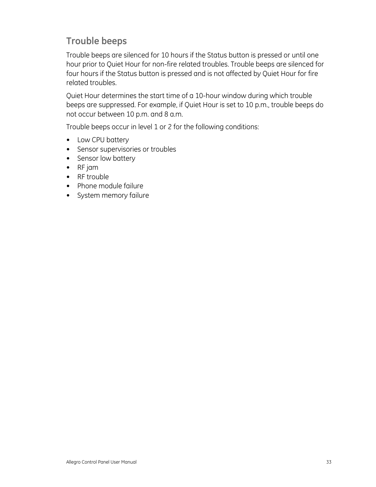## <span id="page-36-0"></span>**Trouble beeps**

Trouble beeps are silenced for 10 hours if the Status button is pressed or until one hour prior to Quiet Hour for non-fire related troubles. Trouble beeps are silenced for four hours if the Status button is pressed and is not affected by Quiet Hour for fire related troubles.

Quiet Hour determines the start time of a 10-hour window during which trouble beeps are suppressed. For example, if Quiet Hour is set to 10 p.m., trouble beeps do not occur between 10 p.m. and 8 a.m.

Trouble beeps occur in level 1 or 2 for the following conditions:

- Low CPU battery
- Sensor supervisories or troubles
- Sensor low battery
- RF jam
- RF trouble
- Phone module failure
- <span id="page-36-1"></span>• System memory failure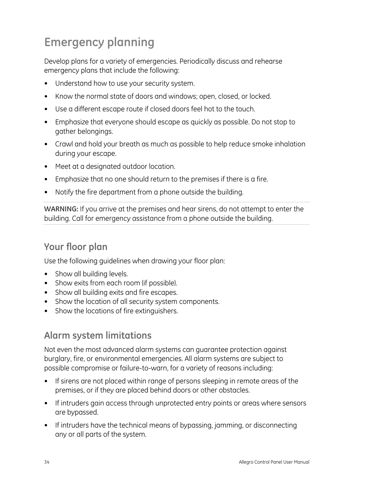## <span id="page-37-0"></span>**Emergency planning**

Develop plans for a variety of emergencies. Periodically discuss and rehearse emergency plans that include the following:

- Understand how to use your security system.
- Know the normal state of doors and windows; open, closed, or locked.
- Use a different escape route if closed doors feel hot to the touch.
- Emphasize that everyone should escape as quickly as possible. Do not stop to gather belongings.
- Crawl and hold your breath as much as possible to help reduce smoke inhalation during your escape.
- Meet at a designated outdoor location.
- Emphasize that no one should return to the premises if there is a fire.
- Notify the fire department from a phone outside the building.

**WARNING:** If you arrive at the premises and hear sirens, do not attempt to enter the building. Call for emergency assistance from a phone outside the building.

## **Your floor plan**

Use the following guidelines when drawing your floor plan:

- Show all building levels.
- Show exits from each room (if possible).
- Show all building exits and fire escapes.
- Show the location of all security system components.
- Show the locations of fire extinguishers.

## **Alarm system limitations**

Not even the most advanced alarm systems can guarantee protection against burglary, fire, or environmental emergencies. All alarm systems are subject to possible compromise or failure-to-warn, for a variety of reasons including:

- If sirens are not placed within range of persons sleeping in remote areas of the premises, or if they are placed behind doors or other obstacles.
- If intruders gain access through unprotected entry points or areas where sensors are bypassed.
- If intruders have the technical means of bypassing, jamming, or disconnecting any or all parts of the system.